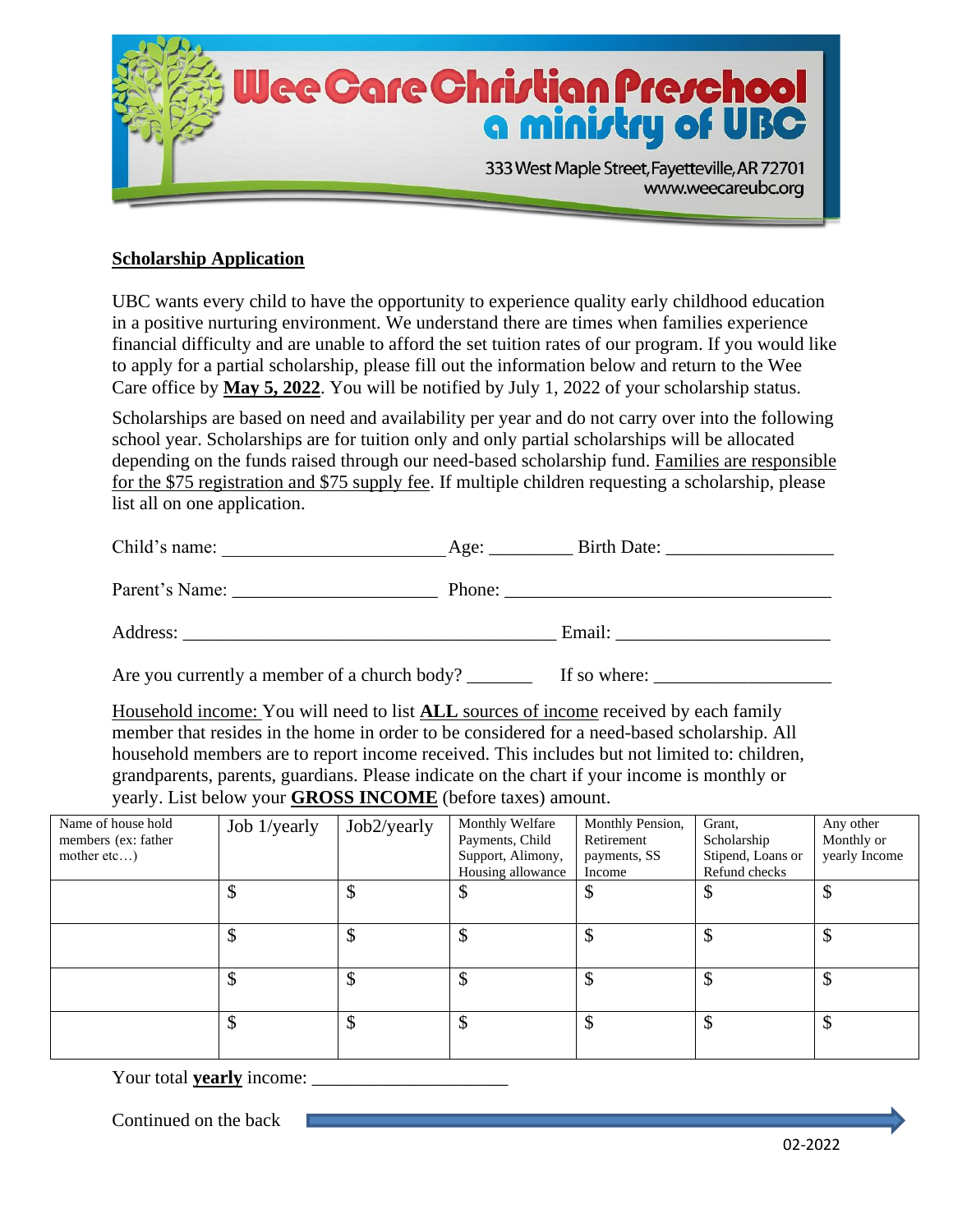

## **Scholarship Application**

UBC wants every child to have the opportunity to experience quality early childhood education in a positive nurturing environment. We understand there are times when families experience financial difficulty and are unable to afford the set tuition rates of our program. If you would like to apply for a partial scholarship, please fill out the information below and return to the Wee Care office by **May 5, 2022**. You will be notified by July 1, 2022 of your scholarship status.

Scholarships are based on need and availability per year and do not carry over into the following school year. Scholarships are for tuition only and only partial scholarships will be allocated depending on the funds raised through our need-based scholarship fund. Families are responsible for the \$75 registration and \$75 supply fee. If multiple children requesting a scholarship, please list all on one application.

| Child's name:  | Birth Date:<br>Age: |
|----------------|---------------------|
| Parent's Name: | Phone:              |
| Address:       | Email:              |

Are you currently a member of a church body? \_\_\_\_\_\_\_ If so where: \_\_\_\_\_\_\_\_\_\_\_\_\_\_\_\_\_\_\_

Household income: You will need to list **ALL** sources of income received by each family member that resides in the home in order to be considered for a need-based scholarship. All household members are to report income received. This includes but not limited to: children, grandparents, parents, guardians. Please indicate on the chart if your income is monthly or yearly. List below your **GROSS INCOME** (before taxes) amount.

| Name of house hold<br>members (ex: father<br>mother etc) | Job 1/yearly | Job2/yearly | Monthly Welfare<br>Payments, Child<br>Support, Alimony,<br>Housing allowance | Monthly Pension,<br>Retirement<br>payments, SS<br>Income | Grant,<br>Scholarship<br>Stipend, Loans or<br>Refund checks | Any other<br>Monthly or<br>yearly Income |
|----------------------------------------------------------|--------------|-------------|------------------------------------------------------------------------------|----------------------------------------------------------|-------------------------------------------------------------|------------------------------------------|
|                                                          |              | \$          | \$                                                                           | \$                                                       | \$                                                          | ึ<br>◡                                   |
|                                                          |              |             | \$                                                                           | \$                                                       |                                                             |                                          |
|                                                          |              |             | \$                                                                           | \$                                                       | \$                                                          |                                          |
|                                                          |              |             | \$                                                                           | \$                                                       | \$                                                          | ᡗ                                        |

Your total **yearly** income:

Continued on the back